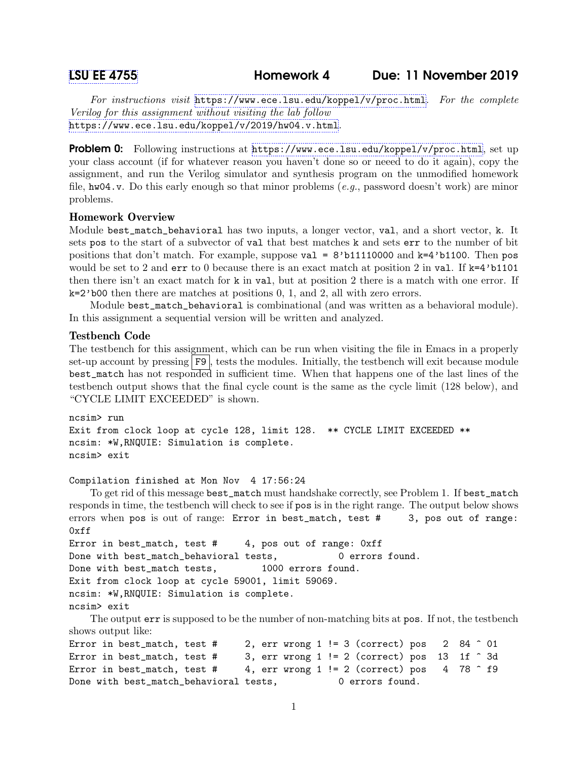For instructions visit <https://www.ece.lsu.edu/koppel/v/proc.html>. For the complete Verilog for this assignment without visiting the lab follow <https://www.ece.lsu.edu/koppel/v/2019/hw04.v.html>.

**Problem 0:** Following instructions at  $https://www.ece.lsu.edu/koppel/y/proc.html, set up$ your class account (if for whatever reason you haven't done so or neeed to do it again), copy the assignment, and run the Verilog simulator and synthesis program on the unmodified homework file,  $hwd4.v.$  Do this early enough so that minor problems (e.g., password doesn't work) are minor problems.

# Homework Overview

Module best\_match\_behavioral has two inputs, a longer vector, val, and a short vector, k. It sets pos to the start of a subvector of val that best matches k and sets err to the number of bit positions that don't match. For example, suppose  $val = 8'b11110000$  and  $k=4'b1100$ . Then pos would be set to 2 and  $err$  to 0 because there is an exact match at position 2 in val. If  $k=4$ 'b1101 then there isn't an exact match for k in val, but at position 2 there is a match with one error. If k=2'b00 then there are matches at positions 0, 1, and 2, all with zero errors.

Module best\_match\_behavioral is combinational (and was written as a behavioral module). In this assignment a sequential version will be written and analyzed.

## Testbench Code

The testbench for this assignment, which can be run when visiting the file in Emacs in a properly set-up account by pressing F9, tests the modules. Initially, the testbench will exit because module best\_match has not responded in sufficient time. When that happens one of the last lines of the testbench output shows that the final cycle count is the same as the cycle limit (128 below), and "CYCLE LIMIT EXCEEDED" is shown.

```
ncsim> run
Exit from clock loop at cycle 128, limit 128. ** CYCLE LIMIT EXCEEDED **
ncsim: *W,RNQUIE: Simulation is complete.
ncsim> exit
```
## Compilation finished at Mon Nov 4 17:56:24

To get rid of this message best\_match must handshake correctly, see Problem 1. If best\_match responds in time, the testbench will check to see if pos is in the right range. The output below shows errors when pos is out of range: Error in best\_match, test # 3, pos out of range:  $0xff$ 

```
Error in best_match, test # 4, pos out of range: 0xffDone with best_match_behavioral tests, 0 errors found.
Done with best_match tests, 1000 errors found.
Exit from clock loop at cycle 59001, limit 59069.
ncsim: *W,RNQUIE: Simulation is complete.
ncsim> exit
```
The output err is supposed to be the number of non-matching bits at pos. If not, the testbench shows output like:

```
Error in best_match, test # 2, err wrong 1 != 3 (correct) pos 2 84 \hat{ } 01
Error in best_match, test # 3, err wrong 1 != 2 (correct) pos 13 1f \hat{ } 3d
Error in best_match, test # 4, err wrong 1 != 2 (correct) pos 4 78 \hat{ } f9
Done with best_match_behavioral tests, 0 errors found.
```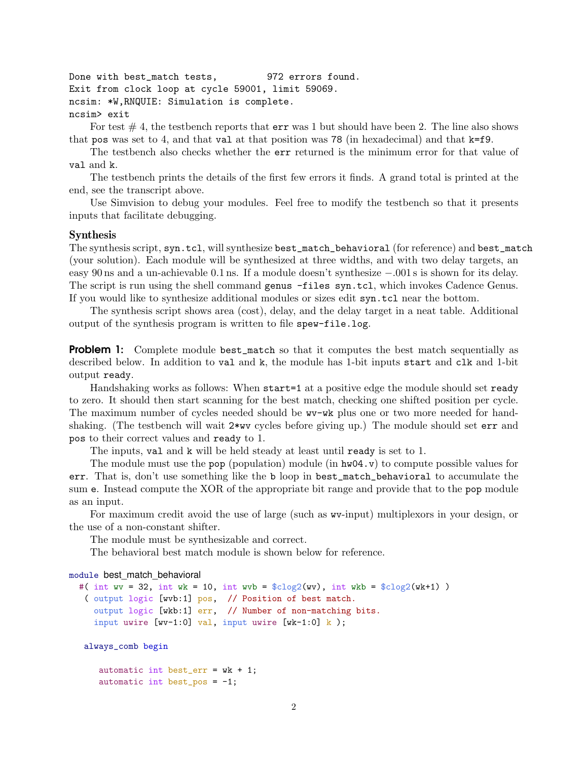Done with best\_match tests, 972 errors found. Exit from clock loop at cycle 59001, limit 59069. ncsim: \*W,RNQUIE: Simulation is complete. ncsim> exit

For test  $# 4$ , the testbench reports that  $err$  was 1 but should have been 2. The line also shows that pos was set to 4, and that val at that position was 78 (in hexadecimal) and that k=f9.

The testbench also checks whether the err returned is the minimum error for that value of val and k.

The testbench prints the details of the first few errors it finds. A grand total is printed at the end, see the transcript above.

Use Simvision to debug your modules. Feel free to modify the testbench so that it presents inputs that facilitate debugging.

#### Synthesis

The synthesis script, syn.tcl, will synthesize best\_match\_behavioral (for reference) and best\_match (your solution). Each module will be synthesized at three widths, and with two delay targets, an easy 90 ns and a un-achievable 0.1 ns. If a module doesn't synthesize −.001 s is shown for its delay. The script is run using the shell command genus -files syn.tcl, which invokes Cadence Genus. If you would like to synthesize additional modules or sizes edit syn.tcl near the bottom.

The synthesis script shows area (cost), delay, and the delay target in a neat table. Additional output of the synthesis program is written to file spew-file.log.

**Problem 1:** Complete module best\_match so that it computes the best match sequentially as described below. In addition to val and k, the module has 1-bit inputs start and clk and 1-bit output ready.

Handshaking works as follows: When start=1 at a positive edge the module should set ready to zero. It should then start scanning for the best match, checking one shifted position per cycle. The maximum number of cycles needed should be wv-wk plus one or two more needed for handshaking. (The testbench will wait 2\*wv cycles before giving up.) The module should set err and pos to their correct values and ready to 1.

The inputs, val and k will be held steady at least until ready is set to 1.

The module must use the pop (population) module (in  $h\text{w04.}v$ ) to compute possible values for err. That is, don't use something like the b loop in best\_match\_behavioral to accumulate the sum e. Instead compute the XOR of the appropriate bit range and provide that to the pop module as an input.

For maximum credit avoid the use of large (such as wv-input) multiplexors in your design, or the use of a non-constant shifter.

The module must be synthesizable and correct.

The behavioral best match module is shown below for reference.

#### module best\_match\_behavioral

```
#( int wv = 32, int wk = 10, int wvb = \csc(vv), int wkb = \csc(vx) )
 ( output logic [wvb:1] pos, // Position of best match.
   output logic [wkb:1] err, // Number of non-matching bits.
   input uwire [{\tt wv-1:0}] val, input uwire [{\tt wk-1:0}] k );
```
always\_comb begin

automatic int best\_err =  $wk + 1$ ; automatic int best\_pos =  $-1$ ;